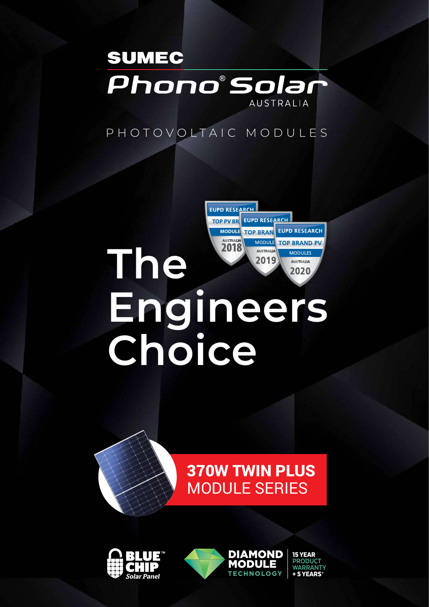

# PHOTOVOLTAIC MODULES

# **MODULE TOP BRAN** AUSTRALIA MODULE TOP BRAND PV **The** AUSTRALIA **MODULES** 2019 **AUSTRALIA** 2020 **Engineers Choice**

TOP PV BREELPD RESEARCH

**EUPD RESEARCH** 



#### 370W TWIN PLUS MODULE SERIES module i **TWIN PLUS** + 5 YEARS**\***

**MODULE** 

DIAMOND





15 YEAR **PRODUCT WARRANTY** + 5 YEARS**\***

**PRODUCT** 

15 YEAR

**EUPD RESEARCH**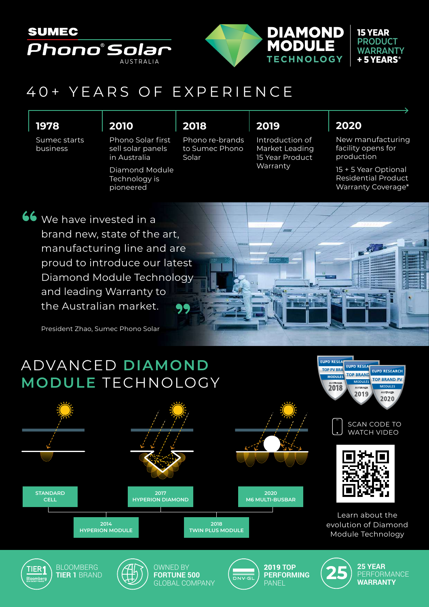

# 40+ YEARS OF EXPERIENCE

### **1978**

Sumec starts business

### **2010**

Phono Solar first sell solar panels in Australia

Diamond Module Technology is pioneered

### **2018**

Phono re-brands to Sumec Phono Solar

### **2019**

Introduction of Market Leading 15 Year Product Warranty

> 2019 **TOP PERFORMING PANEL**

 $55557$ 

## **2020**

New manufacturing facility opens for production

15 + 5 Year Optional Residential Product Warranty Coverage\*

We have invested in a brand new, state of the art, manufacturing line and are proud to introduce our latest Diamond Module Technology and leading Warranty to the Australian market.

President Zhao, Sumec Phono Solar

BLOOMBERG **TIER 1** BRAND

TIER'

# ADVANCED **DIAMOND MODULE** TECHNOLOGY



OWNED BY **FORTUNE 500** GLOBAL COMPANY



SCAN CODE TO WATCH VIDEO

EUPD RESEARCH **TOP BRAND PV** 

2020

TOP PV BRA **MODULES** 2018

MODULES 2019

**EUPD RESEA**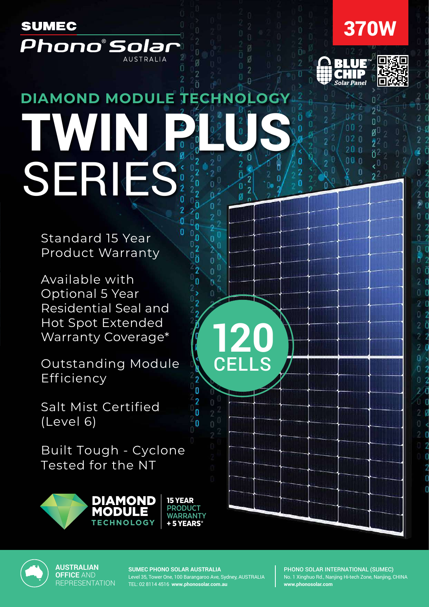



Ò

9Ū

n

аŪ

ñ



 $H +$ 

02 O

 $002$ 

 $02<sub>0</sub>$  $20n$ 

 $000$ 

ö

'n



# ö **DIAMOND MODULE TECHNOLOGY** TWIN PLUS SERIES:

Standard 15 Year Product Warranty

Available with Optional 5 Year Residential Seal and Hot Spot Extended Warranty Coverage\*

Outstanding Module Efficiency **PRODUCT** 

Salt Mist Certified (Level 6)

Built Tough - Cyclone Tested for the NT ne



**AUSTRALIAN OFFICE** AND REPRESENTATION



**SUMEC PHONO SOLAR AUSTRALIA**

15 YEAR **PRODUCT WARRANTY** + 5 YEARS**\***

Level 35, Tower One, 100 Barangaroo Ave, Sydney, AUSTRALIA TEL: 02 8114 4516 **www.phonosolar.com.au**

 $\mathbb{Z}_2$ + 5 YEARS**\***

'n

**120**

Ø

ä  $\overline{2}$  $\overline{0}$ ø  $\overline{0}$ 

n ß

0 n  $\overline{0}$ 'n  $\overline{0}$ 0 ñ

Ō

Ø

CELLS

PHONO SOLAR INTERNATIONAL (SUMEC) No. 1 Xinghuo Rd., Nanjing Hi-tech Zone, Nanjing, CHINA **www.phonosolar.com**